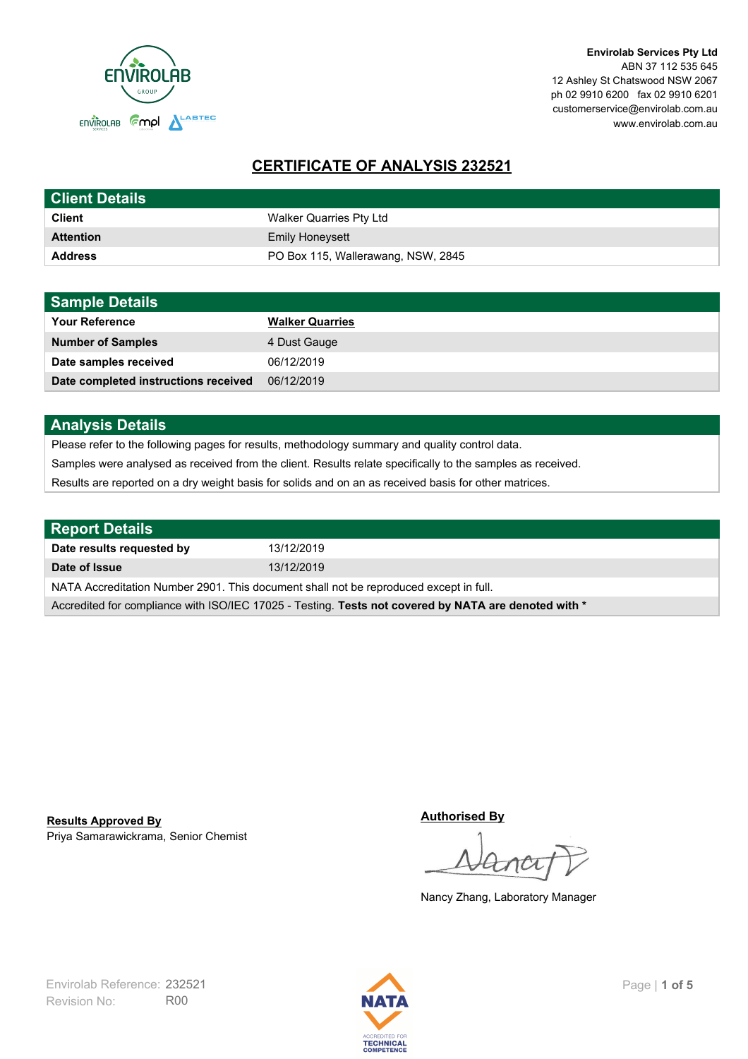

**Envirolab Services Pty Ltd** ABN 37 112 535 645 12 Ashley St Chatswood NSW 2067 ph 02 9910 6200 fax 02 9910 6201 customerservice@envirolab.com.au www.envirolab.com.au

# **CERTIFICATE OF ANALYSIS 232521**

| <b>Client Details</b> |                                    |
|-----------------------|------------------------------------|
| <b>Client</b>         | Walker Quarries Pty Ltd            |
| <b>Attention</b>      | <b>Emily Honeysett</b>             |
| <b>Address</b>        | PO Box 115, Wallerawang, NSW, 2845 |

| <b>Sample Details</b>                |                        |
|--------------------------------------|------------------------|
| <b>Your Reference</b>                | <b>Walker Quarries</b> |
| <b>Number of Samples</b>             | 4 Dust Gauge           |
| Date samples received                | 06/12/2019             |
| Date completed instructions received | 06/12/2019             |

### **Analysis Details**

Please refer to the following pages for results, methodology summary and quality control data.

Samples were analysed as received from the client. Results relate specifically to the samples as received.

Results are reported on a dry weight basis for solids and on an as received basis for other matrices.

| <b>Report Details</b>                                                                                |            |  |
|------------------------------------------------------------------------------------------------------|------------|--|
| Date results requested by                                                                            | 13/12/2019 |  |
| Date of Issue                                                                                        | 13/12/2019 |  |
| NATA Accreditation Number 2901. This document shall not be reproduced except in full.                |            |  |
| Accredited for compliance with ISO/IEC 17025 - Testing. Tests not covered by NATA are denoted with * |            |  |

Priya Samarawickrama, Senior Chemist **Results Approved By**

**Authorised By**

Nancy Zhang, Laboratory Manager

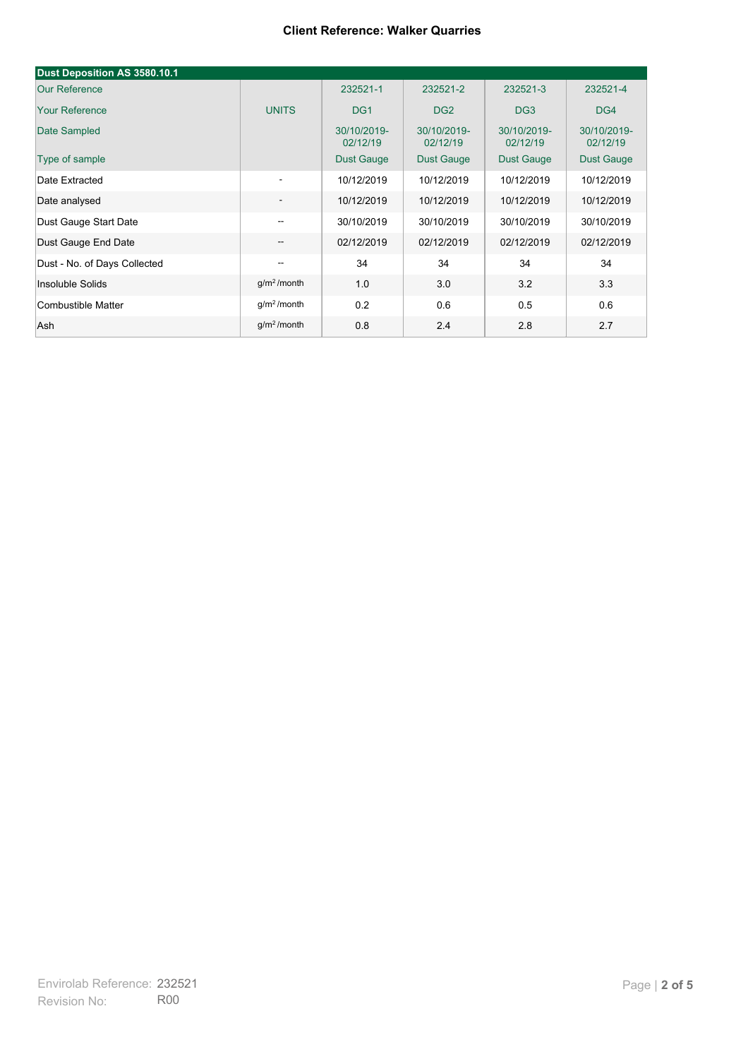#### **Client Reference: Walker Quarries**

| Dust Deposition AS 3580.10.1 |                                       |                         |                         |                         |                         |
|------------------------------|---------------------------------------|-------------------------|-------------------------|-------------------------|-------------------------|
| <b>Our Reference</b>         |                                       | 232521-1                | 232521-2                | 232521-3                | 232521-4                |
| <b>Your Reference</b>        | <b>UNITS</b>                          | DG <sub>1</sub>         | DG <sub>2</sub>         | DG <sub>3</sub>         | DG4                     |
| Date Sampled                 |                                       | 30/10/2019-<br>02/12/19 | 30/10/2019-<br>02/12/19 | 30/10/2019-<br>02/12/19 | 30/10/2019-<br>02/12/19 |
| Type of sample               |                                       | <b>Dust Gauge</b>       | Dust Gauge              | <b>Dust Gauge</b>       | Dust Gauge              |
| Date Extracted               | ۰.                                    | 10/12/2019              | 10/12/2019              | 10/12/2019              | 10/12/2019              |
| Date analysed                | -                                     | 10/12/2019              | 10/12/2019              | 10/12/2019              | 10/12/2019              |
| Dust Gauge Start Date        | $-$                                   | 30/10/2019              | 30/10/2019              | 30/10/2019              | 30/10/2019              |
| Dust Gauge End Date          | $\overline{\phantom{a}}$              | 02/12/2019              | 02/12/2019              | 02/12/2019              | 02/12/2019              |
| Dust - No. of Days Collected | $\hspace{0.05cm}$ – $\hspace{0.05cm}$ | 34                      | 34                      | 34                      | 34                      |
| Insoluble Solids             | $g/m2$ /month                         | 1.0                     | 3.0                     | 3.2                     | 3.3                     |
| Combustible Matter           | g/m <sup>2</sup> /month               | 0.2                     | 0.6                     | 0.5                     | 0.6                     |
| Ash                          | g/m <sup>2</sup> /month               | 0.8                     | 2.4                     | 2.8                     | 2.7                     |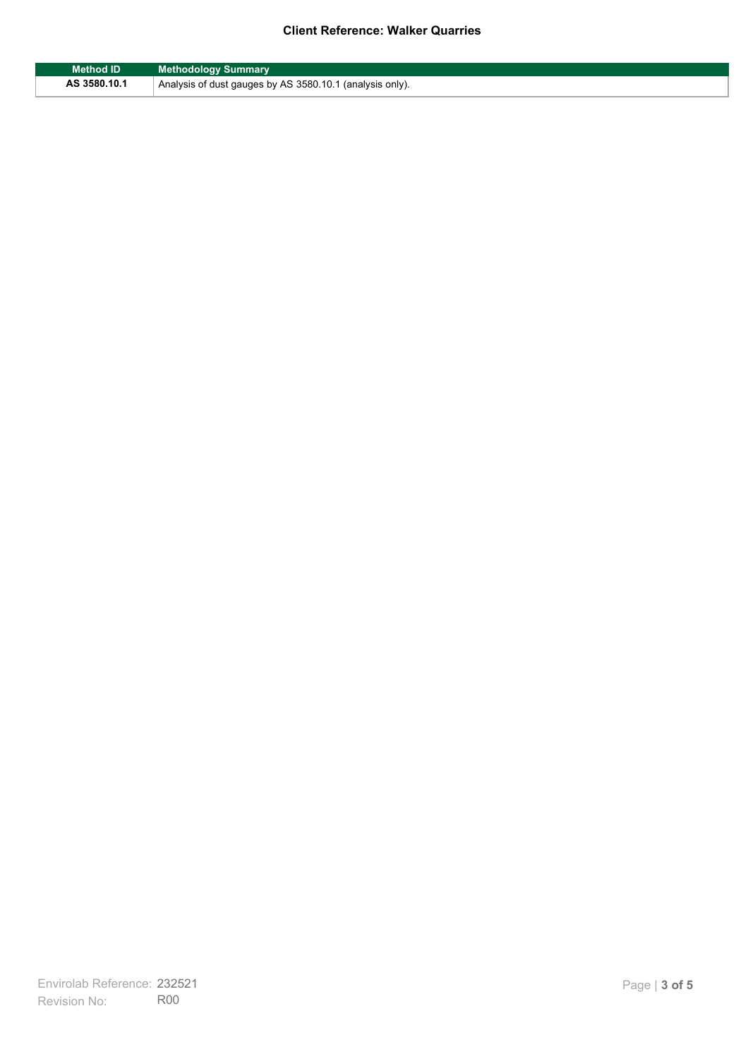#### **Client Reference: Walker Quarries**

| <b>Method ID</b> | <b>Methodology Summary</b>                               |
|------------------|----------------------------------------------------------|
| AS 3580.10.1     | Analysis of dust gauges by AS 3580.10.1 (analysis only). |

F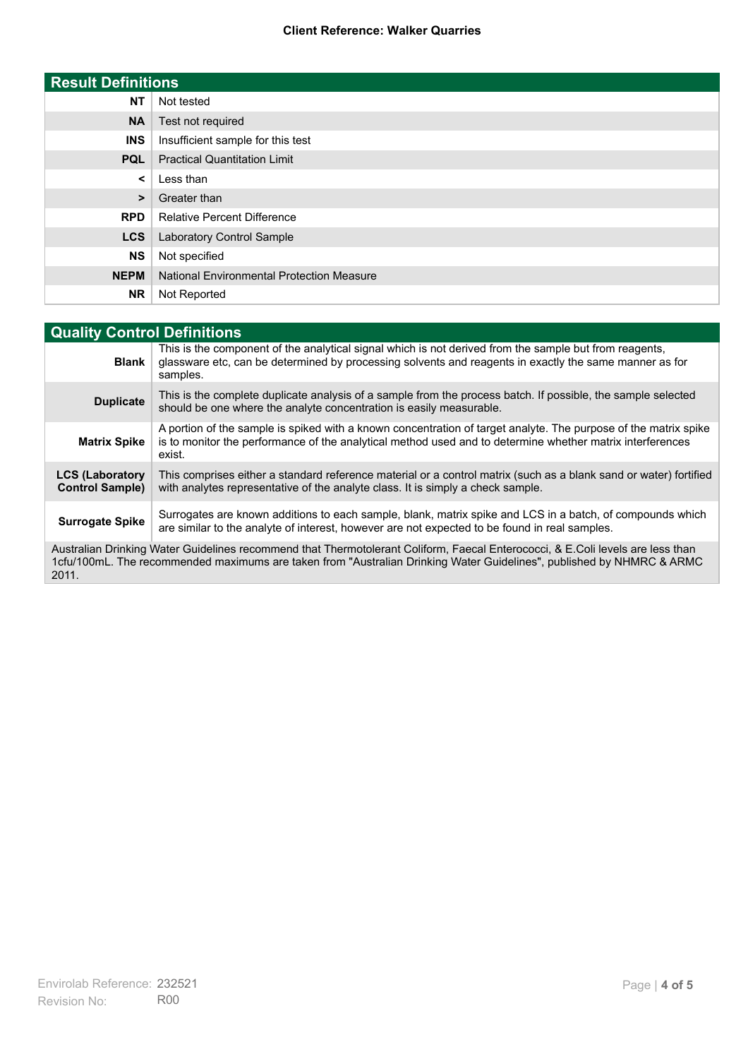#### **Client Reference: Walker Quarries**

| <b>Result Definitions</b> |                                                  |
|---------------------------|--------------------------------------------------|
| <b>NT</b>                 | Not tested                                       |
| <b>NA</b>                 | Test not required                                |
| <b>INS</b>                | Insufficient sample for this test                |
| <b>PQL</b>                | <b>Practical Quantitation Limit</b>              |
| $\prec$                   | Less than                                        |
| >                         | Greater than                                     |
| <b>RPD</b>                | <b>Relative Percent Difference</b>               |
| <b>LCS</b>                | <b>Laboratory Control Sample</b>                 |
| <b>NS</b>                 | Not specified                                    |
| <b>NEPM</b>               | <b>National Environmental Protection Measure</b> |
| <b>NR</b>                 | Not Reported                                     |

| <b>Quality Control Definitions</b>                                                                                                                                                                                                                      |                                                                                                                                                                                                                                        |  |
|---------------------------------------------------------------------------------------------------------------------------------------------------------------------------------------------------------------------------------------------------------|----------------------------------------------------------------------------------------------------------------------------------------------------------------------------------------------------------------------------------------|--|
| <b>Blank</b>                                                                                                                                                                                                                                            | This is the component of the analytical signal which is not derived from the sample but from reagents,<br>glassware etc, can be determined by processing solvents and reagents in exactly the same manner as for<br>samples.           |  |
| <b>Duplicate</b>                                                                                                                                                                                                                                        | This is the complete duplicate analysis of a sample from the process batch. If possible, the sample selected<br>should be one where the analyte concentration is easily measurable.                                                    |  |
| <b>Matrix Spike</b>                                                                                                                                                                                                                                     | A portion of the sample is spiked with a known concentration of target analyte. The purpose of the matrix spike<br>is to monitor the performance of the analytical method used and to determine whether matrix interferences<br>exist. |  |
| <b>LCS (Laboratory</b><br><b>Control Sample)</b>                                                                                                                                                                                                        | This comprises either a standard reference material or a control matrix (such as a blank sand or water) fortified<br>with analytes representative of the analyte class. It is simply a check sample.                                   |  |
| <b>Surrogate Spike</b>                                                                                                                                                                                                                                  | Surrogates are known additions to each sample, blank, matrix spike and LCS in a batch, of compounds which<br>are similar to the analyte of interest, however are not expected to be found in real samples.                             |  |
| Australian Drinking Water Guidelines recommend that Thermotolerant Coliform, Faecal Enterococci, & E.Coli levels are less than<br>1cfu/100mL. The recommended maximums are taken from "Australian Drinking Water Guidelines", published by NHMRC & ARMC |                                                                                                                                                                                                                                        |  |

2011.